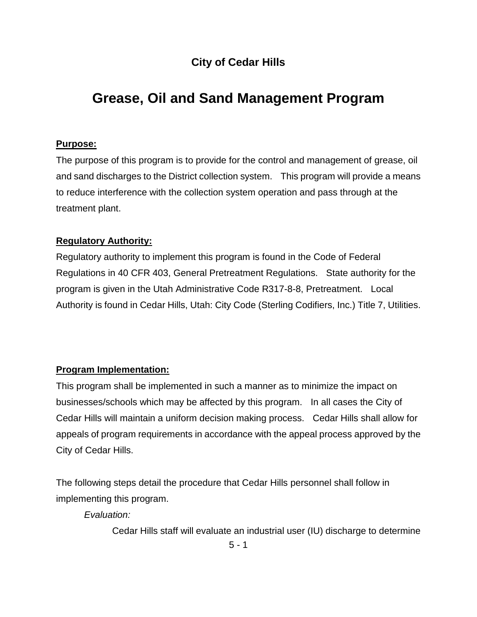# **City of Cedar Hills**

# **Grease, Oil and Sand Management Program**

# **Purpose:**

The purpose of this program is to provide for the control and management of grease, oil and sand discharges to the District collection system. This program will provide a means to reduce interference with the collection system operation and pass through at the treatment plant.

#### **Regulatory Authority:**

Regulatory authority to implement this program is found in the Code of Federal Regulations in 40 CFR 403, General Pretreatment Regulations. State authority for the program is given in the Utah Administrative Code R317-8-8, Pretreatment. Local Authority is found in Cedar Hills, Utah: City Code (Sterling Codifiers, Inc.) Title 7, Utilities.

# **Program Implementation:**

This program shall be implemented in such a manner as to minimize the impact on businesses/schools which may be affected by this program. In all cases the City of Cedar Hills will maintain a uniform decision making process. Cedar Hills shall allow for appeals of program requirements in accordance with the appeal process approved by the City of Cedar Hills.

The following steps detail the procedure that Cedar Hills personnel shall follow in implementing this program.

*Evaluation:*

Cedar Hills staff will evaluate an industrial user (IU) discharge to determine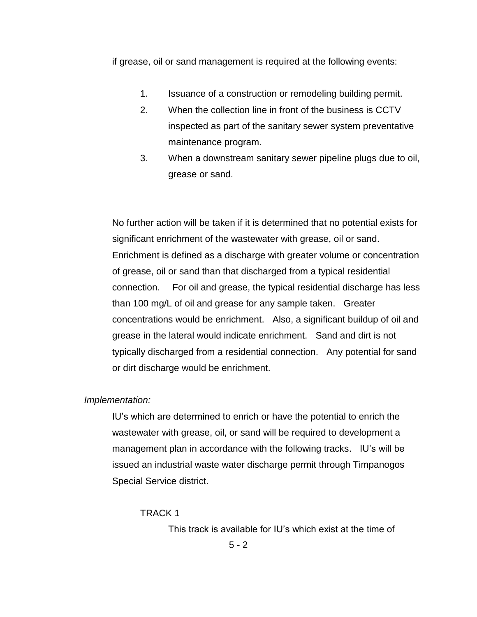if grease, oil or sand management is required at the following events:

- 1. Issuance of a construction or remodeling building permit.
- 2. When the collection line in front of the business is CCTV inspected as part of the sanitary sewer system preventative maintenance program.
- 3. When a downstream sanitary sewer pipeline plugs due to oil, grease or sand.

No further action will be taken if it is determined that no potential exists for significant enrichment of the wastewater with grease, oil or sand. Enrichment is defined as a discharge with greater volume or concentration of grease, oil or sand than that discharged from a typical residential connection. For oil and grease, the typical residential discharge has less than 100 mg/L of oil and grease for any sample taken. Greater concentrations would be enrichment. Also, a significant buildup of oil and grease in the lateral would indicate enrichment. Sand and dirt is not typically discharged from a residential connection. Any potential for sand or dirt discharge would be enrichment.

#### *Implementation:*

IU's which are determined to enrich or have the potential to enrich the wastewater with grease, oil, or sand will be required to development a management plan in accordance with the following tracks. IU's will be issued an industrial waste water discharge permit through Timpanogos Special Service district.

#### TRACK 1

This track is available for IU's which exist at the time of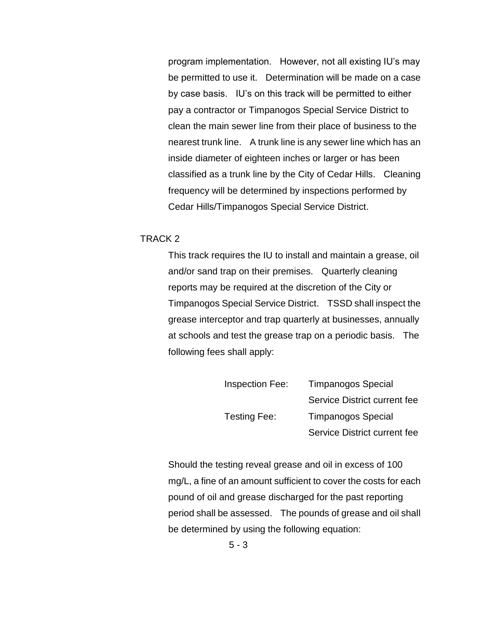program implementation. However, not all existing IU's may be permitted to use it. Determination will be made on a case by case basis. IU's on this track will be permitted to either pay a contractor or Timpanogos Special Service District to clean the main sewer line from their place of business to the nearest trunk line. A trunk line is any sewer line which has an inside diameter of eighteen inches or larger or has been classified as a trunk line by the City of Cedar Hills. Cleaning frequency will be determined by inspections performed by Cedar Hills/Timpanogos Special Service District.

#### TRACK 2

This track requires the IU to install and maintain a grease, oil and/or sand trap on their premises. Quarterly cleaning reports may be required at the discretion of the City or Timpanogos Special Service District. TSSD shall inspect the grease interceptor and trap quarterly at businesses, annually at schools and test the grease trap on a periodic basis. The following fees shall apply:

| Inspection Fee: | <b>Timpanogos Special</b>    |  |
|-----------------|------------------------------|--|
|                 | Service District current fee |  |
| Testing Fee:    | <b>Timpanogos Special</b>    |  |
|                 | Service District current fee |  |

Should the testing reveal grease and oil in excess of 100 mg/L, a fine of an amount sufficient to cover the costs for each pound of oil and grease discharged for the past reporting period shall be assessed. The pounds of grease and oil shall be determined by using the following equation: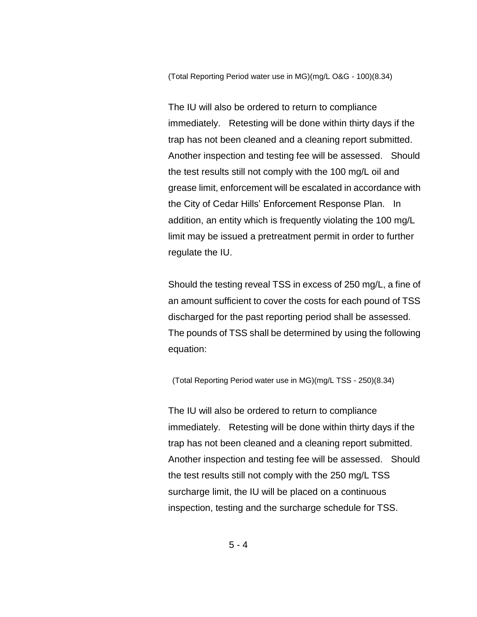(Total Reporting Period water use in MG)(mg/L O&G - 100)(8.34)

The IU will also be ordered to return to compliance immediately. Retesting will be done within thirty days if the trap has not been cleaned and a cleaning report submitted. Another inspection and testing fee will be assessed. Should the test results still not comply with the 100 mg/L oil and grease limit, enforcement will be escalated in accordance with the City of Cedar Hills' Enforcement Response Plan. In addition, an entity which is frequently violating the 100 mg/L limit may be issued a pretreatment permit in order to further regulate the IU.

Should the testing reveal TSS in excess of 250 mg/L, a fine of an amount sufficient to cover the costs for each pound of TSS discharged for the past reporting period shall be assessed. The pounds of TSS shall be determined by using the following equation:

(Total Reporting Period water use in MG)(mg/L TSS - 250)(8.34)

The IU will also be ordered to return to compliance immediately. Retesting will be done within thirty days if the trap has not been cleaned and a cleaning report submitted. Another inspection and testing fee will be assessed. Should the test results still not comply with the 250 mg/L TSS surcharge limit, the IU will be placed on a continuous inspection, testing and the surcharge schedule for TSS.